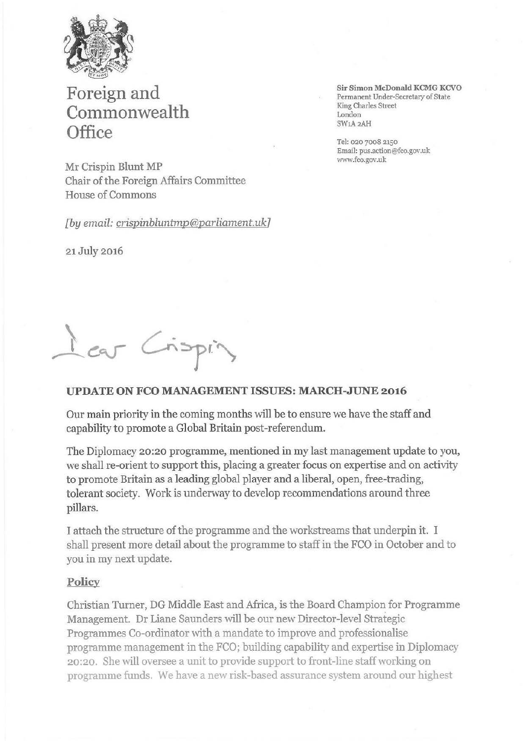

# **Foreign and Commonwealth Office**

Mr Crispin Blunt MP Chair of the Foreign Affairs Committee House of Commons

*[by email: crispinbluntmp@parliament.uk7* 

21 July 2016

**Sir Simon McDonald KCMG KCVO**  Permanent Under-Secretary of State King Charles Street London SWlA2AH

Tel: 020 7008 2150 Email: pus.action@fco.gov.uk www.fco.gov.uk

I car Crispin

### **UPDATE ON FCO MANAGEMENT ISSUES: MARCH-JUNE 2016**

Our main priority in the coming months will be to ensure we have the staff and capability to promote a Global Britain post-referendum.

The Diplomacy 20:20 programme, mentioned in my last management update to you, we shall re-orient to support this, placing a greater focus on expertise and on activity to promote Britain as a leading global player and a liberal, open, free-trading, tolerant society. Work is underway to develop recommendations around three pillars.

I attach the structure of the programme and the workstreams that underpin it. I shall present more detail about the programme to staffin the FCO in October and to you in my next update.

#### **Policy**

Christian Turner, DG Middle East and Africa, is the Board Champion for Programme Management. Dr Liane Saunders will be our new Director-level Strategic Programmes Co-ordinator with a mandate to improve and professionalise programme management in the FCO; building capability and expertise in Diplomacy 20:2 0. She will oversee a unit to provide support to front-line staff working on programme funds. We have a new risk-based assurance system around our highest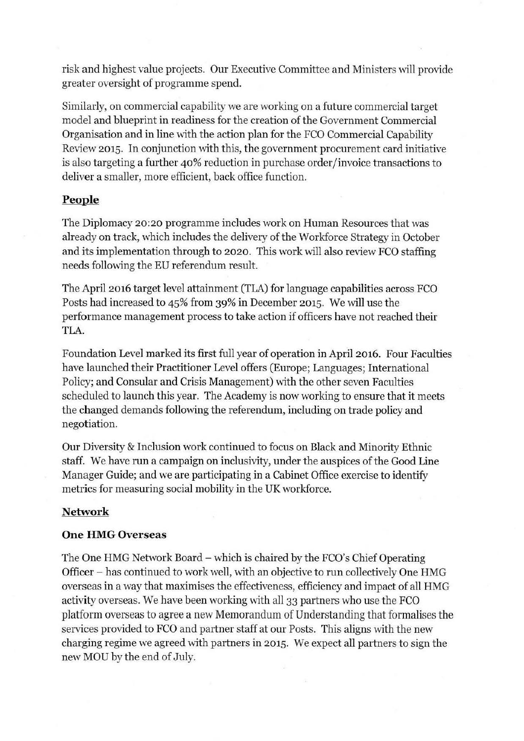risk and highest value projects. Our Executive Committee and Ministers will provide greater oversight of programme spend.

Similarly, on commercial capability we are working on a future commercial target model and blueprint in readiness for the creation of the Government Commercial Organisation and in line with the action plan for the FCO Commercial Capability Review 2015. In conjunction with this, the government procurement card initiative is also targeting a further 40% reduction in purchase order/invoice transactions to deliver a smaller, more efficient, back office function.

## **People**

The Diplomacy 20:20 programme includes work on Human Resources that was already on track, which includes the delivery of the Workforce Strategy in October and its implementation through to 2020. This work will also review FCO staffing needs following the EU referendum result.

The April 2016 target level attainment (TLA) for language capabilities across FCO Posts had increased to 45% from 39% in December 2015. We will use the performance management process to take action if officers have not reached their TLA.

Foundation Level marked its first full year of operation in April 2016. Four Faculties have launched their Practitioner Level offers (Europe; Languages; International Policy; and Consular and Crisis Management) with the other seven Faculties scheduled to launch this year. The Academy is now working to ensure that it meets the changed demands following the referendum, including on trade policy and negotiation.

Our Diversity & Inclusion work continued to focus on Black and Minority Ethnic staff. We have run a campaign on inclusivity, under the auspices of the Good Line Manager Guide; and we are participating in a Cabinet Office exercise to identify metrics for measuring social mobility in the UK workforce.

# **Network**

## **One HMG Overseas**

The One HMG Network Board – which is chaired by the FCO's Chief Operating Officer - has continued to work well, with an objective to run collectively One HMG overseas in a way that maximises the effectiveness, efficiency and impact of all HMG activity overseas. We have been working with all 33 partners who use the FCO platform overseas to agree a new Memorandum of Understanding that formalises the services provided to FCO and partner staff at our Posts. This aligns with the new charging regime we agreed with partners in 2015. We expect all partners to sign the new MOU by the end of July.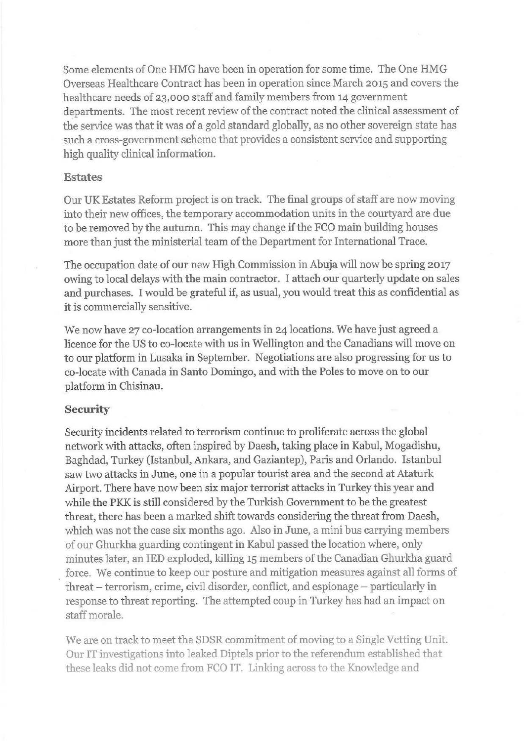Some elements of One HMG have been in operation for some time. The One HMG Overseas Healthcare Contract has been in operation since March 2015 and covers the healthcare needs of 23,000 staff and family members from 14 government departments. The most recent review of the contract noted the clinical assessment of the service was that it was of a gold standard globally, as no other sovereign state has such a cross-government scheme that provides a consistent service and supporting high quality clinical information.

### **Estates**

Our UK Estates Reform project is on track. The final groups of staff are now moving into their new offices, the temporary accommodation units in the courtyard are due to be removed by the autumn. This may change if the FCO main building houses more than just the ministerial team of the Department for International Trace.

The occupation date of our new High Commission in Abuja will now be spring 2017 owing to local delays with the main contractor. I attach our quarterly update on sales and purchases. I would be grateful if, as usual, you would treat this as confidential as it is commercially sensitive.

We now have 27 co-location arrangements in 24 locations. We have just agreed a licence for the US to co-locate with us in Wellington and the Canadians will move on to our platform in Lusaka in September. Negotiations are also progressing for us to co-locate with Canada in Santo Domingo, and with the Poles to move on to our platform in Chisinau.

## **Security**

Security incidents related to terrorism continue to proliferate across the global network with attacks, often inspired by Daesh, taking place in Kabul, Mogadishu, Baghdad, Turkey (Istanbul, Ankara, and Gaziantep), Paris and Orlando. Istanbul saw two attacks in June, one in a popular tourist area and the second at Ataturk Airport. There have now been six major terrorist attacks in Turkey this year and while the PKK is still considered by the Turkish Government to be the greatest threat, there has been a marked shift towards considering the threat from Daesh, which was not the case six months ago. Also in June, a mini bus carrying members of our Ghurkha guarding contingent in Kabul passed the location where, only minutes later, an IED exploded, killing 15 members of the Canadian Ghurkha guard force. We continue to keep our posture and mitigation measures against all forms of threat – terrorism, crime, civil disorder, conflict, and espionage – particularly in response to threat reporting. The attempted coup in Turkey has had an impact on staff morale.

We are on track to meet the SDSR commitment of moving to a Single Vetting Unit. Our IT investigations into leaked Diptels prior to the referendum established that these leaks did not come from FCO IT. Linking across to the Knowledge and